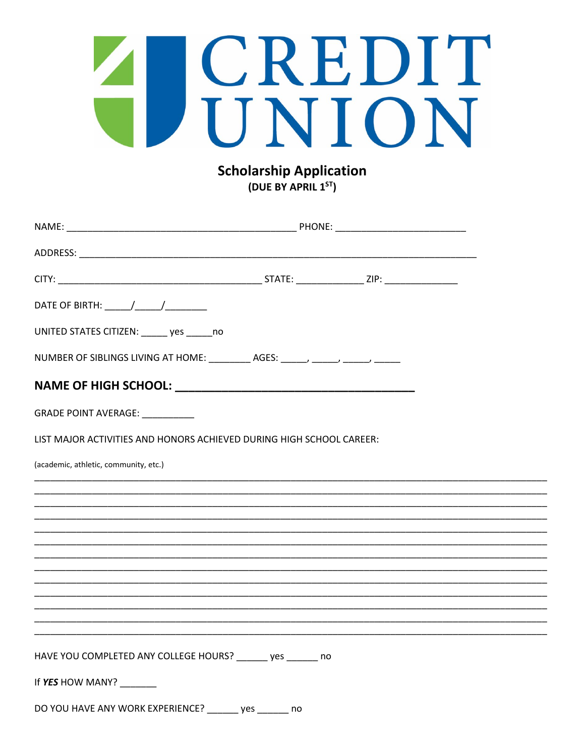# A CREDIT

**Scholarship Application** (DUE BY APRIL 1ST)

| UNITED STATES CITIZEN: ______ yes ______ no                                      |             |  |
|----------------------------------------------------------------------------------|-------------|--|
| NUMBER OF SIBLINGS LIVING AT HOME: _________ AGES: ______, ______, ______, _____ |             |  |
|                                                                                  |             |  |
| GRADE POINT AVERAGE: __________                                                  |             |  |
| LIST MAJOR ACTIVITIES AND HONORS ACHIEVED DURING HIGH SCHOOL CAREER:             |             |  |
| (academic, athletic, community, etc.)                                            |             |  |
|                                                                                  |             |  |
|                                                                                  |             |  |
|                                                                                  |             |  |
|                                                                                  |             |  |
|                                                                                  |             |  |
|                                                                                  |             |  |
|                                                                                  |             |  |
|                                                                                  |             |  |
|                                                                                  |             |  |
|                                                                                  |             |  |
|                                                                                  |             |  |
| HAVE YOU COMPLETED ANY COLLEGE HOURS? _______ yes _______ no                     |             |  |
| If YES HOW MANY? ______                                                          |             |  |
| DO YOU HAVE ANY WORK EXPERIENCE?                                                 | _ yes<br>no |  |